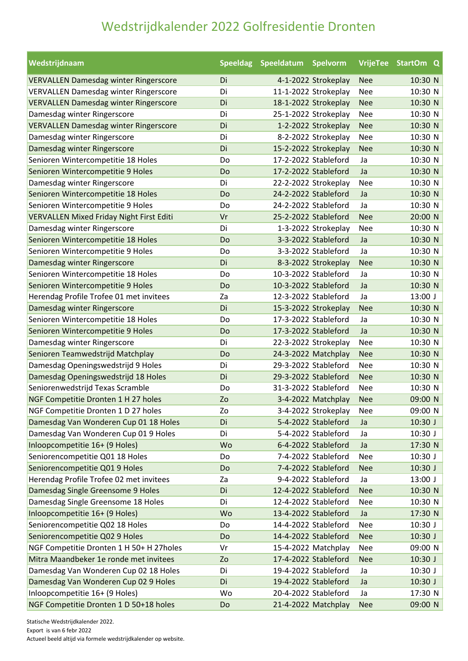| Wedstrijdnaam                                   |    | Speeldag Speeldatum | <b>Spelvorm</b>      |            | VrijeTee StartOm Q |
|-------------------------------------------------|----|---------------------|----------------------|------------|--------------------|
| <b>VERVALLEN Damesdag winter Ringerscore</b>    | Di |                     | 4-1-2022 Strokeplay  | <b>Nee</b> | 10:30 N            |
| <b>VERVALLEN Damesdag winter Ringerscore</b>    | Di |                     | 11-1-2022 Strokeplay | <b>Nee</b> | 10:30 N            |
| <b>VERVALLEN Damesdag winter Ringerscore</b>    | Di |                     | 18-1-2022 Strokeplay | <b>Nee</b> | 10:30 N            |
| Damesdag winter Ringerscore                     | Di |                     | 25-1-2022 Strokeplay | <b>Nee</b> | 10:30 N            |
| <b>VERVALLEN Damesdag winter Ringerscore</b>    | Di |                     | 1-2-2022 Strokeplay  | <b>Nee</b> | 10:30 N            |
| Damesdag winter Ringerscore                     | Di |                     | 8-2-2022 Strokeplay  | <b>Nee</b> | 10:30 N            |
| Damesdag winter Ringerscore                     | Di |                     | 15-2-2022 Strokeplay | <b>Nee</b> | 10:30 N            |
| Senioren Wintercompetitie 18 Holes              | Do |                     | 17-2-2022 Stableford | Ja         | 10:30 N            |
| Senioren Wintercompetitie 9 Holes               | Do |                     | 17-2-2022 Stableford | Ja         | 10:30 N            |
| Damesdag winter Ringerscore                     | Di |                     | 22-2-2022 Strokeplay | <b>Nee</b> | 10:30 N            |
| Senioren Wintercompetitie 18 Holes              | Do |                     | 24-2-2022 Stableford | Ja         | 10:30 N            |
| Senioren Wintercompetitie 9 Holes               | Do |                     | 24-2-2022 Stableford | Ja         | 10:30 N            |
| <b>VERVALLEN Mixed Friday Night First Editi</b> | Vr |                     | 25-2-2022 Stableford | <b>Nee</b> | 20:00 N            |
| Damesdag winter Ringerscore                     | Di |                     | 1-3-2022 Strokeplay  | <b>Nee</b> | 10:30 N            |
| Senioren Wintercompetitie 18 Holes              | Do |                     | 3-3-2022 Stableford  | Ja         | 10:30 N            |
| Senioren Wintercompetitie 9 Holes               | Do |                     | 3-3-2022 Stableford  | Ja         | 10:30 N            |
| Damesdag winter Ringerscore                     | Di |                     | 8-3-2022 Strokeplay  | <b>Nee</b> | 10:30 N            |
| Senioren Wintercompetitie 18 Holes              | Do |                     | 10-3-2022 Stableford | Ja         | 10:30 N            |
| Senioren Wintercompetitie 9 Holes               | Do |                     | 10-3-2022 Stableford | Ja         | 10:30 N            |
| Herendag Profile Trofee 01 met invitees         | Za |                     | 12-3-2022 Stableford | Ja         | 13:00 J            |
| Damesdag winter Ringerscore                     | Di |                     | 15-3-2022 Strokeplay | <b>Nee</b> | 10:30 N            |
| Senioren Wintercompetitie 18 Holes              | Do |                     | 17-3-2022 Stableford | Ja         | 10:30 N            |
| Senioren Wintercompetitie 9 Holes               | Do |                     | 17-3-2022 Stableford | Ja         | 10:30 N            |
| Damesdag winter Ringerscore                     | Di |                     | 22-3-2022 Strokeplay | <b>Nee</b> | 10:30 N            |
| Senioren Teamwedstrijd Matchplay                | Do |                     | 24-3-2022 Matchplay  | <b>Nee</b> | 10:30 N            |
| Damesdag Openingswedstrijd 9 Holes              | Di |                     | 29-3-2022 Stableford | <b>Nee</b> | 10:30 N            |
| Damesdag Openingswedstrijd 18 Holes             | Di |                     | 29-3-2022 Stableford | <b>Nee</b> | 10:30 N            |
| Seniorenwedstrijd Texas Scramble                | Do |                     | 31-3-2022 Stableford | <b>Nee</b> | 10:30 N            |
| NGF Competitie Dronten 1 H 27 holes             | Zo |                     | 3-4-2022 Matchplay   | <b>Nee</b> | 09:00 N            |
| NGF Competitie Dronten 1 D 27 holes             | Zo |                     | 3-4-2022 Strokeplay  | Nee        | 09:00 N            |
| Damesdag Van Wonderen Cup 01 18 Holes           | Di |                     | 5-4-2022 Stableford  | Ja         | 10:30J             |
| Damesdag Van Wonderen Cup 01 9 Holes            | Di |                     | 5-4-2022 Stableford  | Ja         | 10:30J             |
| Inloopcompetitie 16+ (9 Holes)                  | Wo |                     | 6-4-2022 Stableford  | Ja         | 17:30 N            |
| Seniorencompetitie Q01 18 Holes                 | Do |                     | 7-4-2022 Stableford  | <b>Nee</b> | 10:30 J            |
| Seniorencompetitie Q01 9 Holes                  | Do |                     | 7-4-2022 Stableford  | <b>Nee</b> | $10:30$ J          |
| Herendag Profile Trofee 02 met invitees         | Za |                     | 9-4-2022 Stableford  | Ja         | $13:00$ J          |
| Damesdag Single Greensome 9 Holes               | Di |                     | 12-4-2022 Stableford | <b>Nee</b> | 10:30 N            |
| Damesdag Single Greensome 18 Holes              | Di |                     | 12-4-2022 Stableford | <b>Nee</b> | 10:30 N            |
| Inloopcompetitie 16+ (9 Holes)                  | Wo |                     | 13-4-2022 Stableford | Ja         | 17:30 N            |
| Seniorencompetitie Q02 18 Holes                 | Do |                     | 14-4-2022 Stableford | <b>Nee</b> | $10:30$ J          |
| Seniorencompetitie Q02 9 Holes                  | Do |                     | 14-4-2022 Stableford | <b>Nee</b> | $10:30$ J          |
| NGF Competitie Dronten 1 H 50+ H 27holes        | Vr |                     | 15-4-2022 Matchplay  | <b>Nee</b> | 09:00 N            |
| Mitra Maandbeker 1e ronde met invitees          | Zo |                     | 17-4-2022 Stableford | <b>Nee</b> | 10:30J             |
| Damesdag Van Wonderen Cup 02 18 Holes           | Di |                     | 19-4-2022 Stableford | Ja         | 10:30 J            |
| Damesdag Van Wonderen Cup 02 9 Holes            | Di |                     | 19-4-2022 Stableford | Ja         | 10:30J             |
| Inloopcompetitie 16+ (9 Holes)                  | Wo |                     | 20-4-2022 Stableford | Ja         | 17:30 N            |
| NGF Competitie Dronten 1 D 50+18 holes          | Do |                     | 21-4-2022 Matchplay  | <b>Nee</b> | 09:00 N            |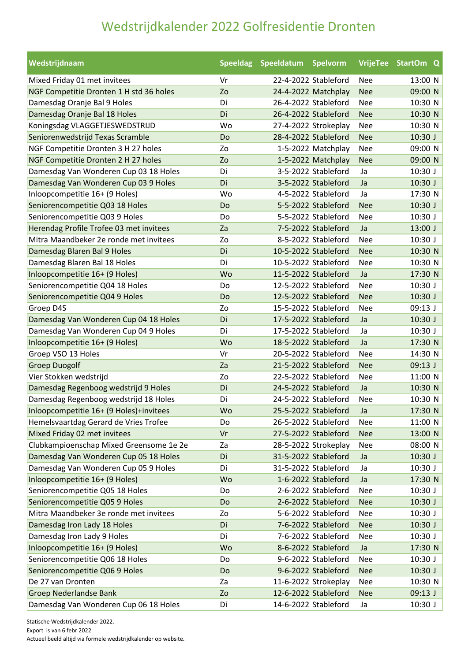| Wedstrijdnaam                           |    | Speeldag Speeldatum Spelvorm |                      |            | VrijeTee StartOm Q |
|-----------------------------------------|----|------------------------------|----------------------|------------|--------------------|
| Mixed Friday 01 met invitees            | Vr |                              | 22-4-2022 Stableford | <b>Nee</b> | 13:00 N            |
| NGF Competitie Dronten 1 H std 36 holes | Zo |                              | 24-4-2022 Matchplay  | <b>Nee</b> | 09:00 N            |
| Damesdag Oranje Bal 9 Holes             | Di |                              | 26-4-2022 Stableford | <b>Nee</b> | 10:30 N            |
| Damesdag Oranje Bal 18 Holes            | Di |                              | 26-4-2022 Stableford | <b>Nee</b> | 10:30 N            |
| Koningsdag VLAGGETJESWEDSTRIJD          | Wo |                              | 27-4-2022 Strokeplay | <b>Nee</b> | 10:30 N            |
| Seniorenwedstrijd Texas Scramble        | Do |                              | 28-4-2022 Stableford | <b>Nee</b> | 10:30J             |
| NGF Competitie Dronten 3 H 27 holes     | Zo |                              | 1-5-2022 Matchplay   | <b>Nee</b> | 09:00 N            |
| NGF Competitie Dronten 2 H 27 holes     | Zo |                              | 1-5-2022 Matchplay   | <b>Nee</b> | 09:00 N            |
| Damesdag Van Wonderen Cup 03 18 Holes   | Di |                              | 3-5-2022 Stableford  | Ja         | $10:30$ J          |
| Damesdag Van Wonderen Cup 03 9 Holes    | Di |                              | 3-5-2022 Stableford  | Ja         | 10:30J             |
| Inloopcompetitie 16+ (9 Holes)          | Wo |                              | 4-5-2022 Stableford  | Ja         | 17:30 N            |
| Seniorencompetitie Q03 18 Holes         | Do |                              | 5-5-2022 Stableford  | <b>Nee</b> | 10:30 J            |
| Seniorencompetitie Q03 9 Holes          | Do |                              | 5-5-2022 Stableford  | <b>Nee</b> | 10:30 J            |
| Herendag Profile Trofee 03 met invitees | Za |                              | 7-5-2022 Stableford  | Ja         | 13:00 J            |
| Mitra Maandbeker 2e ronde met invitees  | Zo |                              | 8-5-2022 Stableford  | <b>Nee</b> | 10:30 J            |
| Damesdag Blaren Bal 9 Holes             | Di |                              | 10-5-2022 Stableford | <b>Nee</b> | 10:30 N            |
| Damesdag Blaren Bal 18 Holes            | Di |                              | 10-5-2022 Stableford | <b>Nee</b> | 10:30 N            |
| Inloopcompetitie 16+ (9 Holes)          | Wo |                              | 11-5-2022 Stableford | Ja         | 17:30 N            |
| Seniorencompetitie Q04 18 Holes         | Do |                              | 12-5-2022 Stableford | <b>Nee</b> | $10:30$ J          |
| Seniorencompetitie Q04 9 Holes          | Do |                              | 12-5-2022 Stableford | <b>Nee</b> | $10:30$ J          |
| Groep D4S                               | Zo |                              | 15-5-2022 Stableford | <b>Nee</b> | 09:13J             |
| Damesdag Van Wonderen Cup 04 18 Holes   | Di |                              | 17-5-2022 Stableford | Ja         | 10:30 J            |
| Damesdag Van Wonderen Cup 04 9 Holes    | Di |                              | 17-5-2022 Stableford | Ja         | 10:30 J            |
| Inloopcompetitie 16+ (9 Holes)          | Wo |                              | 18-5-2022 Stableford | Ja         | 17:30 N            |
| Groep VSO 13 Holes                      | Vr |                              | 20-5-2022 Stableford | <b>Nee</b> | 14:30 N            |
| <b>Groep Duogolf</b>                    | Za |                              | 21-5-2022 Stableford | <b>Nee</b> | 09:13J             |
| Vier Stokken wedstrijd                  | Zo |                              | 22-5-2022 Stableford | <b>Nee</b> | 11:00 N            |
| Damesdag Regenboog wedstrijd 9 Holes    | Di |                              | 24-5-2022 Stableford | Ja         | 10:30 N            |
| Damesdag Regenboog wedstrijd 18 Holes   | Di |                              | 24-5-2022 Stableford | <b>Nee</b> | 10:30 N            |
| Inloopcompetitie 16+ (9 Holes)+invitees | Wo |                              | 25-5-2022 Stableford | Ja         | 17:30 N            |
| Hemelsvaartdag Gerard de Vries Trofee   | Do |                              | 26-5-2022 Stableford | Nee        | 11:00 N            |
| Mixed Friday 02 met invitees            | Vr |                              | 27-5-2022 Stableford | <b>Nee</b> | 13:00 N            |
| Clubkampioenschap Mixed Greensome 1e 2e | Za |                              | 28-5-2022 Strokeplay | Nee        | 08:00 N            |
| Damesdag Van Wonderen Cup 05 18 Holes   | Di |                              | 31-5-2022 Stableford | Ja         | 10:30J             |
| Damesdag Van Wonderen Cup 05 9 Holes    | Di |                              | 31-5-2022 Stableford | Ja         | $10:30$ J          |
| Inloopcompetitie 16+ (9 Holes)          | Wo |                              | 1-6-2022 Stableford  | Ja         | 17:30 N            |
| Seniorencompetitie Q05 18 Holes         | Do |                              | 2-6-2022 Stableford  | Nee        | 10:30 J            |
| Seniorencompetitie Q05 9 Holes          | Do |                              | 2-6-2022 Stableford  | <b>Nee</b> | 10:30J             |
| Mitra Maandbeker 3e ronde met invitees  | Zo |                              | 5-6-2022 Stableford  | Nee        | 10:30 J            |
| Damesdag Iron Lady 18 Holes             | Di |                              | 7-6-2022 Stableford  | <b>Nee</b> | $10:30$ J          |
| Damesdag Iron Lady 9 Holes              | Di |                              | 7-6-2022 Stableford  | Nee        | $10:30$ J          |
| Inloopcompetitie 16+ (9 Holes)          | Wo |                              | 8-6-2022 Stableford  | Ja         | 17:30 N            |
| Seniorencompetitie Q06 18 Holes         | Do |                              | 9-6-2022 Stableford  | <b>Nee</b> | 10:30 J            |
| Seniorencompetitie Q06 9 Holes          | Do |                              | 9-6-2022 Stableford  | <b>Nee</b> | 10:30J             |
| De 27 van Dronten                       | Za |                              | 11-6-2022 Strokeplay | <b>Nee</b> | 10:30 N            |
| <b>Groep Nederlandse Bank</b>           | Zo |                              | 12-6-2022 Stableford | <b>Nee</b> | 09:13J             |
| Damesdag Van Wonderen Cup 06 18 Holes   | Di |                              | 14-6-2022 Stableford | Ja         | 10:30J             |

Statische Wedstrijdkalender 2022. Export is van 6 febr 2022 Actueel beeld altijd via formele wedstrijdkalender op website.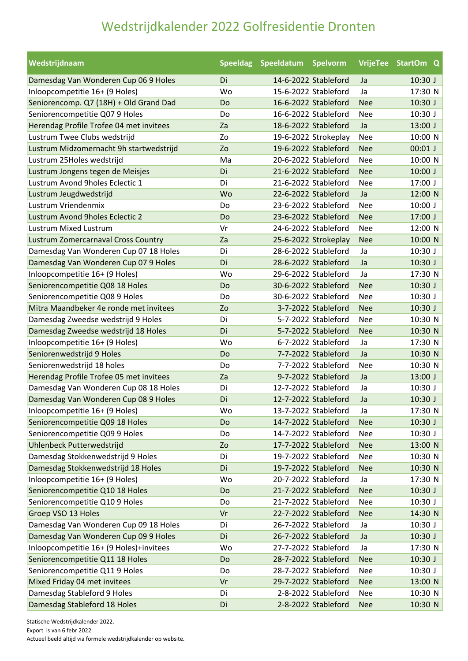| Wedstrijdnaam                              |    | Speeldag Speeldatum | <b>Spelvorm</b>      |            | VrijeTee StartOm Q |
|--------------------------------------------|----|---------------------|----------------------|------------|--------------------|
| Damesdag Van Wonderen Cup 06 9 Holes       | Di |                     | 14-6-2022 Stableford | Ja         | $10:30$ J          |
| Inloopcompetitie 16+ (9 Holes)             | Wo |                     | 15-6-2022 Stableford | Ja         | 17:30 N            |
| Seniorencomp. Q7 (18H) + Old Grand Dad     | Do |                     | 16-6-2022 Stableford | <b>Nee</b> | $10:30$ J          |
| Seniorencompetitie Q07 9 Holes             | Do |                     | 16-6-2022 Stableford | <b>Nee</b> | 10:30 J            |
| Herendag Profile Trofee 04 met invitees    | Za |                     | 18-6-2022 Stableford | Ja         | $13:00$ J          |
| Lustrum Twee Clubs wedstrijd               | Zo |                     | 19-6-2022 Strokeplay | <b>Nee</b> | 10:00 N            |
| Lustrum Midzomernacht 9h startwedstrijd    | Zo |                     | 19-6-2022 Stableford | <b>Nee</b> | $00:01$ J          |
| Lustrum 25Holes wedstrijd                  | Ma |                     | 20-6-2022 Stableford | Nee        | 10:00 N            |
| Lustrum Jongens tegen de Meisjes           | Di |                     | 21-6-2022 Stableford | <b>Nee</b> | $10:00$ J          |
| Lustrum Avond 9holes Eclectic 1            | Di |                     | 21-6-2022 Stableford | <b>Nee</b> | 17:00 J            |
| Lustrum Jeugdwedstrijd                     | Wo |                     | 22-6-2022 Stableford | Ja         | 12:00 N            |
| Lustrum Vriendenmix                        | Do |                     | 23-6-2022 Stableford | <b>Nee</b> | 10:00 J            |
| <b>Lustrum Avond 9holes Eclectic 2</b>     | Do |                     | 23-6-2022 Stableford | <b>Nee</b> | $17:00$ J          |
| <b>Lustrum Mixed Lustrum</b>               | Vr |                     | 24-6-2022 Stableford | <b>Nee</b> | 12:00 N            |
| <b>Lustrum Zomercarnaval Cross Country</b> | Za |                     | 25-6-2022 Strokeplay | <b>Nee</b> | 10:00 N            |
| Damesdag Van Wonderen Cup 07 18 Holes      | Di |                     | 28-6-2022 Stableford | Ja         | 10:30 J            |
| Damesdag Van Wonderen Cup 07 9 Holes       | Di |                     | 28-6-2022 Stableford | Ja         | $10:30$ J          |
| Inloopcompetitie 16+ (9 Holes)             | Wo |                     | 29-6-2022 Stableford | Ja         | 17:30 N            |
| Seniorencompetitie Q08 18 Holes            | Do |                     | 30-6-2022 Stableford | <b>Nee</b> | 10:30J             |
| Seniorencompetitie Q08 9 Holes             | Do |                     | 30-6-2022 Stableford | <b>Nee</b> | 10:30 J            |
| Mitra Maandbeker 4e ronde met invitees     | Zo |                     | 3-7-2022 Stableford  | <b>Nee</b> | 10:30 J            |
| Damesdag Zweedse wedstrijd 9 Holes         | Di |                     | 5-7-2022 Stableford  | <b>Nee</b> | 10:30 N            |
| Damesdag Zweedse wedstrijd 18 Holes        | Di |                     | 5-7-2022 Stableford  | <b>Nee</b> | 10:30 N            |
| Inloopcompetitie 16+ (9 Holes)             | Wo |                     | 6-7-2022 Stableford  | Ja         | 17:30 N            |
| Seniorenwedstrijd 9 Holes                  | Do |                     | 7-7-2022 Stableford  | Ja         | 10:30 N            |
| Seniorenwedstrijd 18 holes                 | Do |                     | 7-7-2022 Stableford  | <b>Nee</b> | 10:30 N            |
| Herendag Profile Trofee 05 met invitees    | Za |                     | 9-7-2022 Stableford  | Ja         | $13:00$ J          |
| Damesdag Van Wonderen Cup 08 18 Holes      | Di |                     | 12-7-2022 Stableford | Ja         | 10:30 J            |
| Damesdag Van Wonderen Cup 08 9 Holes       | Di |                     | 12-7-2022 Stableford | Ja         | 10:30 J            |
| Inloopcompetitie 16+ (9 Holes)             | Wo |                     | 13-7-2022 Stableford | Ja         | 17:30 N            |
| Seniorencompetitie Q09 18 Holes            | Do |                     | 14-7-2022 Stableford | <b>Nee</b> | 10:30J             |
| Seniorencompetitie Q09 9 Holes             | Do |                     | 14-7-2022 Stableford | <b>Nee</b> | $10:30$ J          |
| Uhlenbeck Putterwedstrijd                  | Zo |                     | 17-7-2022 Stableford | <b>Nee</b> | 13:00 N            |
| Damesdag Stokkenwedstrijd 9 Holes          | Di |                     | 19-7-2022 Stableford | <b>Nee</b> | 10:30 N            |
| Damesdag Stokkenwedstrijd 18 Holes         | Di |                     | 19-7-2022 Stableford | <b>Nee</b> | 10:30 N            |
| Inloopcompetitie 16+ (9 Holes)             | Wo |                     | 20-7-2022 Stableford | Ja         | 17:30 N            |
| Seniorencompetitie Q10 18 Holes            | Do |                     | 21-7-2022 Stableford | <b>Nee</b> | 10:30J             |
| Seniorencompetitie Q10 9 Holes             | Do |                     | 21-7-2022 Stableford | Nee        | 10:30 J            |
| Groep VSO 13 Holes                         | Vr |                     | 22-7-2022 Stableford | <b>Nee</b> | 14:30 N            |
| Damesdag Van Wonderen Cup 09 18 Holes      | Di |                     | 26-7-2022 Stableford | Ja         | 10:30J             |
| Damesdag Van Wonderen Cup 09 9 Holes       | Di |                     | 26-7-2022 Stableford | Ja         | 10:30J             |
| Inloopcompetitie 16+ (9 Holes)+invitees    | Wo |                     | 27-7-2022 Stableford | Ja         | 17:30 N            |
| Seniorencompetitie Q11 18 Holes            | Do |                     | 28-7-2022 Stableford | <b>Nee</b> | 10:30J             |
| Seniorencompetitie Q11 9 Holes             | Do |                     | 28-7-2022 Stableford | Nee        | $10:30$ J          |
| Mixed Friday 04 met invitees               | Vr |                     | 29-7-2022 Stableford | <b>Nee</b> | 13:00 N            |
| Damesdag Stableford 9 Holes                | Di |                     | 2-8-2022 Stableford  | <b>Nee</b> | 10:30 N            |
| Damesdag Stableford 18 Holes               | Di |                     | 2-8-2022 Stableford  | <b>Nee</b> | 10:30 N            |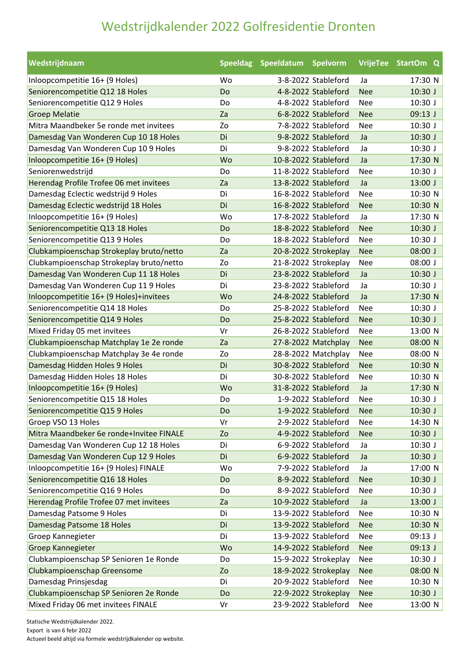| Wedstrijdnaam                            |    | Speeldag Speeldatum | <b>Spelvorm</b>      |            | VrijeTee StartOm Q |
|------------------------------------------|----|---------------------|----------------------|------------|--------------------|
| Inloopcompetitie 16+ (9 Holes)           | Wo |                     | 3-8-2022 Stableford  | Ja         | 17:30 N            |
| Seniorencompetitie Q12 18 Holes          | Do |                     | 4-8-2022 Stableford  | <b>Nee</b> | $10:30$ J          |
| Seniorencompetitie Q12 9 Holes           | Do |                     | 4-8-2022 Stableford  | <b>Nee</b> | 10:30 J            |
| <b>Groep Melatie</b>                     | Za |                     | 6-8-2022 Stableford  | <b>Nee</b> | 09:13J             |
| Mitra Maandbeker 5e ronde met invitees   | Zo |                     | 7-8-2022 Stableford  | <b>Nee</b> | 10:30 J            |
| Damesdag Van Wonderen Cup 10 18 Holes    | Di |                     | 9-8-2022 Stableford  | Ja         | $10:30$ J          |
| Damesdag Van Wonderen Cup 10 9 Holes     | Di |                     | 9-8-2022 Stableford  | Ja         | 10:30 J            |
| Inloopcompetitie 16+ (9 Holes)           | Wo |                     | 10-8-2022 Stableford | Ja         | 17:30 N            |
| Seniorenwedstrijd                        | Do |                     | 11-8-2022 Stableford | <b>Nee</b> | $10:30$ J          |
| Herendag Profile Trofee 06 met invitees  | Za |                     | 13-8-2022 Stableford | Ja         | 13:00 J            |
| Damesdag Eclectic wedstrijd 9 Holes      | Di |                     | 16-8-2022 Stableford | <b>Nee</b> | 10:30 N            |
| Damesdag Eclectic wedstrijd 18 Holes     | Di |                     | 16-8-2022 Stableford | <b>Nee</b> | 10:30 N            |
| Inloopcompetitie 16+ (9 Holes)           | Wo |                     | 17-8-2022 Stableford | Ja         | 17:30 N            |
| Seniorencompetitie Q13 18 Holes          | Do |                     | 18-8-2022 Stableford | <b>Nee</b> | $10:30$ J          |
| Seniorencompetitie Q13 9 Holes           | Do |                     | 18-8-2022 Stableford | <b>Nee</b> | 10:30 J            |
| Clubkampioenschap Strokeplay bruto/netto | Za |                     | 20-8-2022 Strokeplay | <b>Nee</b> | 08:00 J            |
| Clubkampioenschap Strokeplay bruto/netto | Zo |                     | 21-8-2022 Strokeplay | <b>Nee</b> | 08:00 J            |
| Damesdag Van Wonderen Cup 11 18 Holes    | Di |                     | 23-8-2022 Stableford | Ja         | $10:30$ J          |
| Damesdag Van Wonderen Cup 11 9 Holes     | Di |                     | 23-8-2022 Stableford | Ja         | 10:30 J            |
| Inloopcompetitie 16+ (9 Holes)+invitees  | Wo |                     | 24-8-2022 Stableford | Ja         | 17:30 N            |
| Seniorencompetitie Q14 18 Holes          | Do |                     | 25-8-2022 Stableford | <b>Nee</b> | 10:30 J            |
| Seniorencompetitie Q14 9 Holes           | Do |                     | 25-8-2022 Stableford | <b>Nee</b> | $10:30$ J          |
| Mixed Friday 05 met invitees             | Vr |                     | 26-8-2022 Stableford | <b>Nee</b> | 13:00 N            |
| Clubkampioenschap Matchplay 1e 2e ronde  | Za |                     | 27-8-2022 Matchplay  | <b>Nee</b> | 08:00 N            |
| Clubkampioenschap Matchplay 3e 4e ronde  | Zo |                     | 28-8-2022 Matchplay  | Nee        | 08:00 N            |
| Damesdag Hidden Holes 9 Holes            | Di |                     | 30-8-2022 Stableford | <b>Nee</b> | 10:30 N            |
| Damesdag Hidden Holes 18 Holes           | Di |                     | 30-8-2022 Stableford | <b>Nee</b> | 10:30 N            |
| Inloopcompetitie 16+ (9 Holes)           | Wo |                     | 31-8-2022 Stableford | Ja         | 17:30 N            |
| Seniorencompetitie Q15 18 Holes          | Do |                     | 1-9-2022 Stableford  | <b>Nee</b> | $10:30$ J          |
| Seniorencompetitie Q15 9 Holes           | Do |                     | 1-9-2022 Stableford  | <b>Nee</b> | 10:30 J            |
| Groep VSO 13 Holes                       | Vr |                     | 2-9-2022 Stableford  | <b>Nee</b> | 14:30 N            |
| Mitra Maandbeker 6e ronde+Invitee FINALE | Zo |                     | 4-9-2022 Stableford  | <b>Nee</b> | 10:30J             |
| Damesdag Van Wonderen Cup 12 18 Holes    | Di |                     | 6-9-2022 Stableford  | Ja         | 10:30 J            |
| Damesdag Van Wonderen Cup 12 9 Holes     | Di |                     | 6-9-2022 Stableford  | Ja         | $10:30$ J          |
| Inloopcompetitie 16+ (9 Holes) FINALE    | Wo |                     | 7-9-2022 Stableford  | Ja         | 17:00 N            |
| Seniorencompetitie Q16 18 Holes          | Do |                     | 8-9-2022 Stableford  | <b>Nee</b> | 10:30J             |
| Seniorencompetitie Q16 9 Holes           | Do |                     | 8-9-2022 Stableford  | Nee        | $10:30$ J          |
| Herendag Profile Trofee 07 met invitees  | Za |                     | 10-9-2022 Stableford | Ja         | 13:00 J            |
| Damesdag Patsome 9 Holes                 | Di |                     | 13-9-2022 Stableford | <b>Nee</b> | 10:30 N            |
| Damesdag Patsome 18 Holes                | Di |                     | 13-9-2022 Stableford | <b>Nee</b> | 10:30 N            |
| Groep Kannegieter                        | Di |                     | 13-9-2022 Stableford | <b>Nee</b> | 09:13J             |
| Groep Kannegieter                        | Wo |                     | 14-9-2022 Stableford | <b>Nee</b> | 09:13 J            |
| Clubkampioenschap SP Senioren 1e Ronde   | Do |                     | 15-9-2022 Strokeplay | Nee        | 10:30 J            |
| Clubkampioenschap Greensome              | Zo |                     | 18-9-2022 Strokeplay | <b>Nee</b> | 08:00 N            |
| Damesdag Prinsjesdag                     | Di |                     | 20-9-2022 Stableford | <b>Nee</b> | 10:30 N            |
| Clubkampioenschap SP Senioren 2e Ronde   | Do |                     | 22-9-2022 Strokeplay | <b>Nee</b> | $10:30$ J          |
| Mixed Friday 06 met invitees FINALE      | Vr |                     | 23-9-2022 Stableford | <b>Nee</b> | 13:00 N            |

Actueel beeld altijd via formele wedstrijdkalender op website.